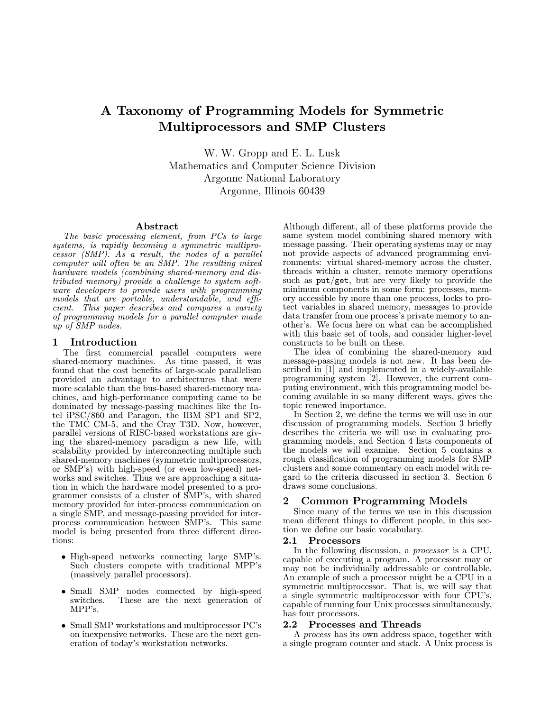# A Taxonomy of Programming Models for Symmetric Multiprocessors and SMP Clusters

W. W. Gropp and E. L. Lusk Mathematics and Computer Science Division Argonne National Laboratory Argonne, Illinois 60439

#### Abstract

The basic processing element, from PCs to large systems, is rapidly becoming a symmetric multiprocessor (SMP). As a result, the nodes of a parallel computer will often be an SMP. The resulting mixed hardware models (combining shared-memory and distributed memory) provide a challenge to system software developers to provide users with programming models that are portable, understandable, and efficient. This paper describes and compares a variety of programming models for a parallel computer made up of SMP nodes.

#### 1 Introduction

The first commercial parallel computers were shared-memory machines. As time passed, it was found that the cost benefits of large-scale parallelism provided an advantage to architectures that were more scalable than the bus-based shared-memory machines, and high-performance computing came to be dominated by message-passing machines like the Intel iPSC/860 and Paragon, the IBM SP1 and SP2, the TMC CM-5, and the Cray T3D. Now, however, parallel versions of RISC-based workstations are giving the shared-memory paradigm a new life, with scalability provided by interconnecting multiple such shared-memory machines (symmetric multiprocessors, or SMP's) with high-speed (or even low-speed) networks and switches. Thus we are approaching a situation in which the hardware model presented to a programmer consists of a cluster of SMP's, with shared memory provided for inter-process communication on a single SMP, and message-passing provided for interprocess communication between SMP's. This same model is being presented from three different directions:

- High-speed networks connecting large SMP's. Such clusters compete with traditional MPP's (massively parallel processors).
- Small SMP nodes connected by high-speed switches. These are the next generation of MPP's.
- Small SMP workstations and multiprocessor PC's on inexpensive networks. These are the next generation of today's workstation networks.

Although different, all of these platforms provide the same system model combining shared memory with message passing. Their operating systems may or may not provide aspects of advanced programming environments: virtual shared-memory across the cluster, threads within a cluster, remote memory operations such as put/get, but are very likely to provide the minimum components in some form: processes, memory accessible by more than one process, locks to protect variables in shared memory, messages to provide data transfer from one process's private memory to another's. We focus here on what can be accomplished with this basic set of tools, and consider higher-level constructs to be built on these.

The idea of combining the shared-memory and message-passing models is not new. It has been described in [1] and implemented in a widely-available programming system [2]. However, the current computing environment, with this programming model becoming available in so many different ways, gives the topic renewed importance.

In Section 2, we define the terms we will use in our discussion of programming models. Section 3 briefly describes the criteria we will use in evaluating programming models, and Section 4 lists components of the models we will examine. Section 5 contains a rough classification of programming models for SMP clusters and some commentary on each model with regard to the criteria discussed in section 3. Section 6 draws some conclusions.

## 2 Common Programming Models

Since many of the terms we use in this discussion mean different things to different people, in this section we define our basic vocabulary.

#### 2.1 Processors

In the following discussion, a processor is a CPU, capable of executing a program. A processor may or may not be individually addressable or controllable. An example of such a processor might be a CPU in a symmetric multiprocessor. That is, we will say that a single symmetric multiprocessor with four CPU's, capable of running four Unix processes simultaneously, has four processors.

#### 2.2 Processes and Threads

A process has its own address space, together with a single program counter and stack. A Unix process is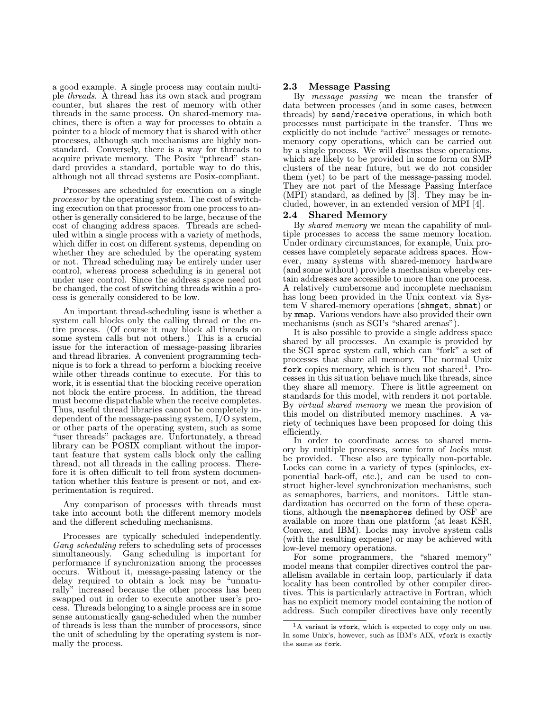a good example. A single process may contain multiple threads. A thread has its own stack and program counter, but shares the rest of memory with other threads in the same process. On shared-memory machines, there is often a way for processes to obtain a pointer to a block of memory that is shared with other processes, although such mechanisms are highly nonstandard. Conversely, there is a way for threads to acquire private memory. The Posix "pthread" standard provides a standard, portable way to do this, although not all thread systems are Posix-compliant.

Processes are scheduled for execution on a single processor by the operating system. The cost of switching execution on that processor from one process to another is generally considered to be large, because of the cost of changing address spaces. Threads are scheduled within a single process with a variety of methods, which differ in cost on different systems, depending on whether they are scheduled by the operating system or not. Thread scheduling may be entirely under user control, whereas process scheduling is in general not under user control. Since the address space need not be changed, the cost of switching threads within a process is generally considered to be low.

An important thread-scheduling issue is whether a system call blocks only the calling thread or the entire process. (Of course it may block all threads on some system calls but not others.) This is a crucial issue for the interaction of message-passing libraries and thread libraries. A convenient programming technique is to fork a thread to perform a blocking receive while other threads continue to execute. For this to work, it is essential that the blocking receive operation not block the entire process. In addition, the thread must become dispatchable when the receive completes. Thus, useful thread libraries cannot be completely independent of the message-passing system, I/O system, or other parts of the operating system, such as some "user threads" packages are. Unfortunately, a thread library can be POSIX compliant without the important feature that system calls block only the calling thread, not all threads in the calling process. Therefore it is often difficult to tell from system documentation whether this feature is present or not, and experimentation is required.

Any comparison of processes with threads must take into account both the different memory models and the different scheduling mechanisms.

Processes are typically scheduled independently. Gang scheduling refers to scheduling sets of processes simultaneously. Gang scheduling is important for performance if synchronization among the processes occurs. Without it, message-passing latency or the delay required to obtain a lock may be "unnaturally" increased because the other process has been swapped out in order to execute another user's process. Threads belonging to a single process are in some sense automatically gang-scheduled when the number of threads is less than the number of processors, since the unit of scheduling by the operating system is normally the process.

## 2.3 Message Passing

By message passing we mean the transfer of data between processes (and in some cases, between threads) by send/receive operations, in which both processes must participate in the transfer. Thus we explicitly do not include "active" messages or remotememory copy operations, which can be carried out by a single process. We will discuss these operations, which are likely to be provided in some form on SMP clusters of the near future, but we do not consider them (yet) to be part of the message-passing model. They are not part of the Message Passing Interface (MPI) standard, as defined by [3]. They may be included, however, in an extended version of MPI [4].

#### 2.4 Shared Memory

By shared memory we mean the capability of multiple processes to access the same memory location. Under ordinary circumstances, for example, Unix processes have completely separate address spaces. However, many systems with shared-memory hardware (and some without) provide a mechanism whereby certain addresses are accessible to more than one process. A relatively cumbersome and incomplete mechanism has long been provided in the Unix context via System V shared-memory operations (shmget, shmat) or by mmap. Various vendors have also provided their own mechanisms (such as SGI's "shared arenas").

It is also possible to provide a single address space shared by all processes. An example is provided by the SGI sproc system call, which can "fork" a set of processes that share all memory. The normal Unix fork copies memory, which is then not shared<sup>1</sup>. Processes in this situation behave much like threads, since they share all memory. There is little agreement on standards for this model, with renders it not portable. By virtual shared memory we mean the provision of this model on distributed memory machines. A variety of techniques have been proposed for doing this efficiently.

In order to coordinate access to shared memory by multiple processes, some form of locks must be provided. These also are typically non-portable. Locks can come in a variety of types (spinlocks, exponential back-off, etc.), and can be used to construct higher-level synchronization mechanisms, such as semaphores, barriers, and monitors. Little standardization has occurred on the form of these operations, although the msemaphores defined by OSF are available on more than one platform (at least KSR, Convex, and IBM). Locks may involve system calls (with the resulting expense) or may be achieved with low-level memory operations.

For some programmers, the "shared memory" model means that compiler directives control the parallelism available in certain loop, particularly if data locality has been controlled by other compiler directives. This is particularly attractive in Fortran, which has no explicit memory model containing the notion of address. Such compiler directives have only recently

<sup>1</sup>A variant is vfork, which is expected to copy only on use. In some Unix's, however, such as IBM's AIX, vfork is exactly the same as fork.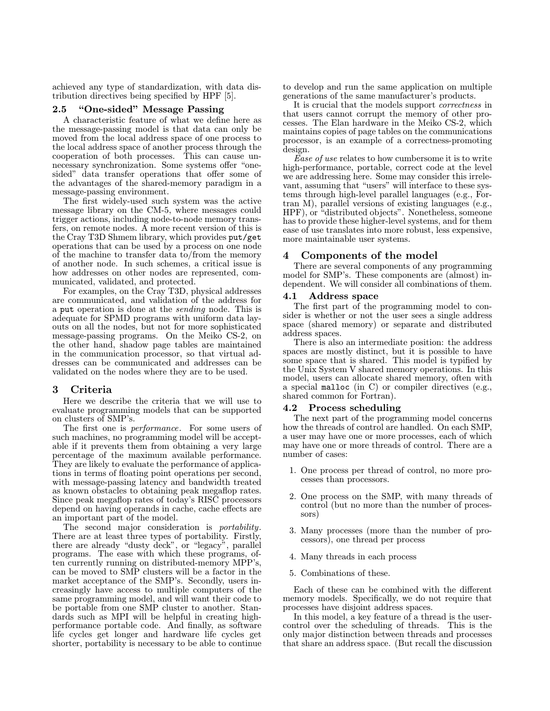achieved any type of standardization, with data distribution directives being specified by HPF [5].

# 2.5 "One-sided" Message Passing

A characteristic feature of what we define here as the message-passing model is that data can only be moved from the local address space of one process to the local address space of another process through the cooperation of both processes. This can cause unnecessary synchronization. Some systems offer "onesided" data transfer operations that offer some of the advantages of the shared-memory paradigm in a message-passing environment.

The first widely-used such system was the active message library on the CM-5, where messages could trigger actions, including node-to-node memory transfers, on remote nodes. A more recent version of this is the Cray T3D Shmem library, which provides put/get operations that can be used by a process on one node of the machine to transfer data to/from the memory of another node. In such schemes, a critical issue is how addresses on other nodes are represented, communicated, validated, and protected.

For examples, on the Cray T3D, physical addresses are communicated, and validation of the address for a put operation is done at the sending node. This is adequate for SPMD programs with uniform data layouts on all the nodes, but not for more sophisticated message-passing programs. On the Meiko CS-2, on the other hand, shadow page tables are maintained in the communication processor, so that virtual addresses can be communicated and addresses can be validated on the nodes where they are to be used.

#### 3 Criteria

Here we describe the criteria that we will use to evaluate programming models that can be supported on clusters of SMP's.

The first one is *performance*. For some users of such machines, no programming model will be acceptable if it prevents them from obtaining a very large percentage of the maximum available performance. They are likely to evaluate the performance of applications in terms of floating point operations per second, with message-passing latency and bandwidth treated as known obstacles to obtaining peak megaflop rates. Since peak megaflop rates of today's RISC processors depend on having operands in cache, cache effects are an important part of the model.

The second major consideration is *portability*. There are at least three types of portability. Firstly, there are already "dusty deck", or "legacy", parallel programs. The ease with which these programs, often currently running on distributed-memory MPP's, can be moved to SMP clusters will be a factor in the market acceptance of the SMP's. Secondly, users increasingly have access to multiple computers of the same programming model, and will want their code to be portable from one SMP cluster to another. Standards such as MPI will be helpful in creating highperformance portable code. And finally, as software life cycles get longer and hardware life cycles get shorter, portability is necessary to be able to continue to develop and run the same application on multiple generations of the same manufacturer's products.

It is crucial that the models support correctness in that users cannot corrupt the memory of other processes. The Elan hardware in the Meiko CS-2, which maintains copies of page tables on the communications processor, is an example of a correctness-promoting design.

Ease of use relates to how cumbersome it is to write high-performance, portable, correct code at the level we are addressing here. Some may consider this irrelevant, assuming that "users" will interface to these systems through high-level parallel languages (e.g., Fortran M), parallel versions of existing languages (e.g., HPF), or "distributed objects". Nonetheless, someone has to provide these higher-level systems, and for them ease of use translates into more robust, less expensive, more maintainable user systems.

#### 4 Components of the model

There are several components of any programming model for SMP's. These components are (almost) independent. We will consider all combinations of them.

#### 4.1 Address space

The first part of the programming model to consider is whether or not the user sees a single address space (shared memory) or separate and distributed address spaces.

There is also an intermediate position: the address spaces are mostly distinct, but it is possible to have some space that is shared. This model is typified by the Unix System V shared memory operations. In this model, users can allocate shared memory, often with a special malloc (in C) or compiler directives (e.g., shared common for Fortran).

#### 4.2 Process scheduling

The next part of the programming model concerns how the threads of control are handled. On each SMP, a user may have one or more processes, each of which may have one or more threads of control. There are a number of cases:

- 1. One process per thread of control, no more processes than processors.
- 2. One process on the SMP, with many threads of control (but no more than the number of processors)
- 3. Many processes (more than the number of processors), one thread per process
- 4. Many threads in each process
- 5. Combinations of these.

Each of these can be combined with the different memory models. Specifically, we do not require that processes have disjoint address spaces.

In this model, a key feature of a thread is the usercontrol over the scheduling of threads. This is the only major distinction between threads and processes that share an address space. (But recall the discussion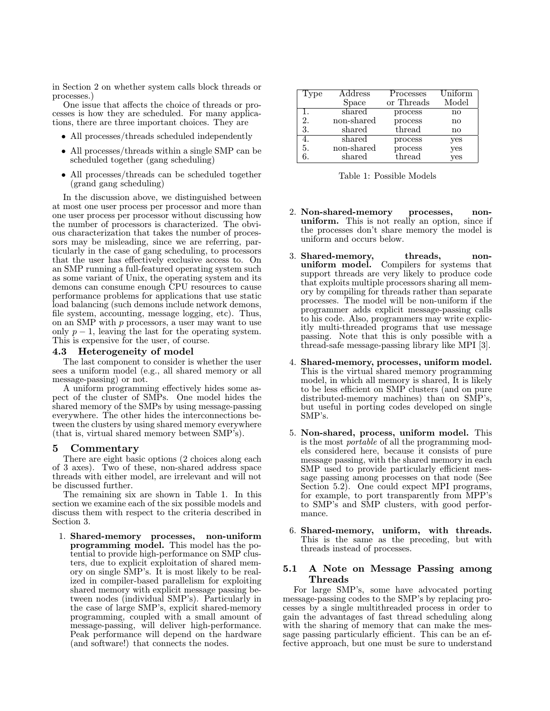in Section 2 on whether system calls block threads or processes.)

One issue that affects the choice of threads or processes is how they are scheduled. For many applications, there are three important choices. They are

- All processes/threads scheduled independently
- All processes/threads within a single SMP can be scheduled together (gang scheduling)
- All processes/threads can be scheduled together (grand gang scheduling)

In the discussion above, we distinguished between at most one user process per processor and more than one user process per processor without discussing how the number of processors is characterized. The obvious characterization that takes the number of processors may be misleading, since we are referring, particularly in the case of gang scheduling, to processors that the user has effectively exclusive access to. On an SMP running a full-featured operating system such as some variant of Unix, the operating system and its demons can consume enough CPU resources to cause performance problems for applications that use static load balancing (such demons include network demons, file system, accounting, message logging, etc). Thus, on an SMP with  $p$  processors, a user may want to use only  $p-1$ , leaving the last for the operating system. This is expensive for the user, of course.

#### 4.3 Heterogeneity of model

The last component to consider is whether the user sees a uniform model (e.g., all shared memory or all message-passing) or not.

A uniform programming effectively hides some aspect of the cluster of SMPs. One model hides the shared memory of the SMPs by using message-passing everywhere. The other hides the interconnections between the clusters by using shared memory everywhere (that is, virtual shared memory between SMP's).

## 5 Commentary

There are eight basic options (2 choices along each of 3 axes). Two of these, non-shared address space threads with either model, are irrelevant and will not be discussed further.

The remaining six are shown in Table 1. In this section we examine each of the six possible models and discuss them with respect to the criteria described in Section 3.

1. Shared-memory processes, non-uniform programming model. This model has the potential to provide high-performance on SMP clusters, due to explicit exploitation of shared memory on single SMP's. It is most likely to be realized in compiler-based parallelism for exploiting shared memory with explicit message passing between nodes (individual SMP's). Particularly in the case of large SMP's, explicit shared-memory programming, coupled with a small amount of message-passing, will deliver high-performance. Peak performance will depend on the hardware (and software!) that connects the nodes.

| Type | Address    | Processes  | Uniform                |
|------|------------|------------|------------------------|
|      | Space      | or Threads | Model                  |
|      | shared     | process    | no                     |
| 2.   | non-shared | process    | $\mathbf{n}\mathbf{o}$ |
| 3.   | shared     | thread     | $\mathbf{n}$           |
|      | shared     | process    | yes                    |
| 5.   | non-shared | process    | yes                    |
|      | shared     | thread     | yes                    |

Table 1: Possible Models

- 2. Non-shared-memory processes, nonuniform. This is not really an option, since if the processes don't share memory the model is uniform and occurs below.
- 3. Shared-memory, threads, nonuniform model. Compilers for systems that support threads are very likely to produce code that exploits multiple processors sharing all memory by compiling for threads rather than separate processes. The model will be non-uniform if the programmer adds explicit message-passing calls to his code. Also, programmers may write explicitly multi-threaded programs that use message passing. Note that this is only possible with a thread-safe message-passing library like MPI [3].
- 4. Shared-memory, processes, uniform model. This is the virtual shared memory programming model, in which all memory is shared, It is likely to be less efficient on SMP clusters (and on pure distributed-memory machines) than on SMP's, but useful in porting codes developed on single SMP's.
- 5. Non-shared, process, uniform model. This is the most portable of all the programming models considered here, because it consists of pure message passing, with the shared memory in each SMP used to provide particularly efficient message passing among processes on that node (See Section 5.2). One could expect MPI programs, for example, to port transparently from MPP's to SMP's and SMP clusters, with good performance.
- 6. Shared-memory, uniform, with threads. This is the same as the preceding, but with threads instead of processes.

# 5.1 A Note on Message Passing among Threads

For large SMP's, some have advocated porting message-passing codes to the SMP's by replacing processes by a single multithreaded process in order to gain the advantages of fast thread scheduling along with the sharing of memory that can make the message passing particularly efficient. This can be an effective approach, but one must be sure to understand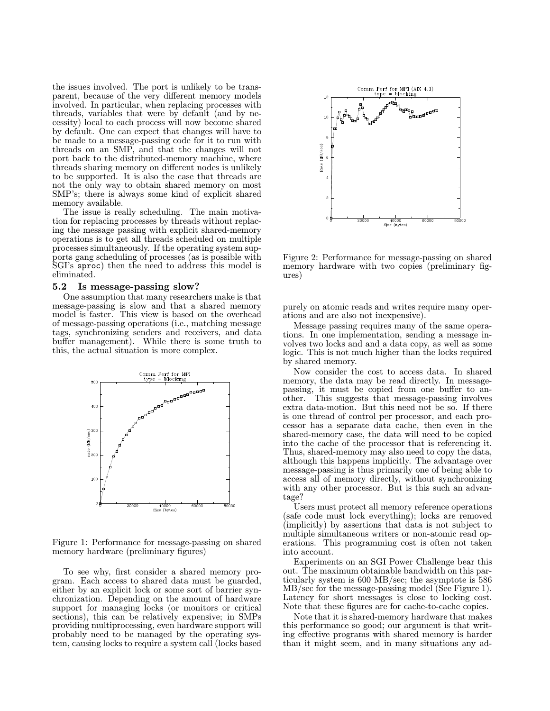the issues involved. The port is unlikely to be transparent, because of the very different memory models involved. In particular, when replacing processes with threads, variables that were by default (and by necessity) local to each process will now become shared by default. One can expect that changes will have to be made to a message-passing code for it to run with threads on an SMP, and that the changes will not port back to the distributed-memory machine, where threads sharing memory on different nodes is unlikely to be supported. It is also the case that threads are not the only way to obtain shared memory on most SMP's; there is always some kind of explicit shared memory available.

The issue is really scheduling. The main motivation for replacing processes by threads without replacing the message passing with explicit shared-memory operations is to get all threads scheduled on multiple processes simultaneously. If the operating system supports gang scheduling of processes (as is possible with SGI's sproc) then the need to address this model is eliminated.

## 5.2 Is message-passing slow?

One assumption that many researchers make is that message-passing is slow and that a shared memory model is faster. This view is based on the overhead of message-passing operations (i.e., matching message tags, synchronizing senders and receivers, and data buffer management). While there is some truth to this, the actual situation is more complex.



Figure 1: Performance for message-passing on shared memory hardware (preliminary figures)

To see why, first consider a shared memory program. Each access to shared data must be guarded, either by an explicit lock or some sort of barrier synchronization. Depending on the amount of hardware support for managing locks (or monitors or critical sections), this can be relatively expensive; in SMPs providing multiprocessing, even hardware support will probably need to be managed by the operating system, causing locks to require a system call (locks based



Figure 2: Performance for message-passing on shared memory hardware with two copies (preliminary figures)

purely on atomic reads and writes require many operations and are also not inexpensive).

Message passing requires many of the same operations. In one implementation, sending a message involves two locks and and a data copy, as well as some logic. This is not much higher than the locks required by shared memory.

Now consider the cost to access data. In shared memory, the data may be read directly. In messagepassing, it must be copied from one buffer to another. This suggests that message-passing involves extra data-motion. But this need not be so. If there is one thread of control per processor, and each processor has a separate data cache, then even in the shared-memory case, the data will need to be copied into the cache of the processor that is referencing it. Thus, shared-memory may also need to copy the data, although this happens implicitly. The advantage over message-passing is thus primarily one of being able to access all of memory directly, without synchronizing with any other processor. But is this such an advantage?

Users must protect all memory reference operations (safe code must lock everything); locks are removed (implicitly) by assertions that data is not subject to multiple simultaneous writers or non-atomic read operations. This programming cost is often not taken into account.

Experiments on an SGI Power Challenge bear this out. The maximum obtainable bandwidth on this particularly system is 600 MB/sec; the asymptote is 586 MB/sec for the message-passing model (See Figure 1). Latency for short messages is close to locking cost. Note that these figures are for cache-to-cache copies.

Note that it is shared-memory hardware that makes this performance so good; our argument is that writing effective programs with shared memory is harder than it might seem, and in many situations any ad